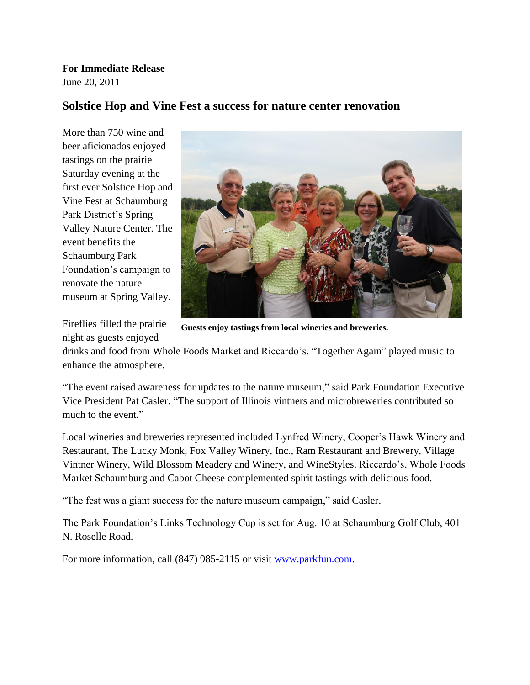**For Immediate Release** June 20, 2011

## **Solstice Hop and Vine Fest a success for nature center renovation**

More than 750 wine and beer aficionados enjoyed tastings on the prairie Saturday evening at the first ever Solstice Hop and Vine Fest at Schaumburg Park District's Spring Valley Nature Center. The event benefits the Schaumburg Park Foundation's campaign to renovate the nature museum at Spring Valley.

Fireflies filled the prairie night as guests enjoyed



**Guests enjoy tastings from local wineries and breweries.**

drinks and food from Whole Foods Market and Riccardo's. "Together Again" played music to enhance the atmosphere.

"The event raised awareness for updates to the nature museum," said Park Foundation Executive Vice President Pat Casler. "The support of Illinois vintners and microbreweries contributed so much to the event."

Local wineries and breweries represented included Lynfred Winery, Cooper's Hawk Winery and Restaurant, The Lucky Monk, Fox Valley Winery, Inc., Ram Restaurant and Brewery, Village Vintner Winery, Wild Blossom Meadery and Winery, and WineStyles. Riccardo's, Whole Foods Market Schaumburg and Cabot Cheese complemented spirit tastings with delicious food.

"The fest was a giant success for the nature museum campaign," said Casler.

The Park Foundation's Links Technology Cup is set for Aug. 10 at Schaumburg Golf Club, 401 N. Roselle Road.

For more information, call (847) 985-2115 or visit [www.parkfun.com.](http://www.parkfun.com/)